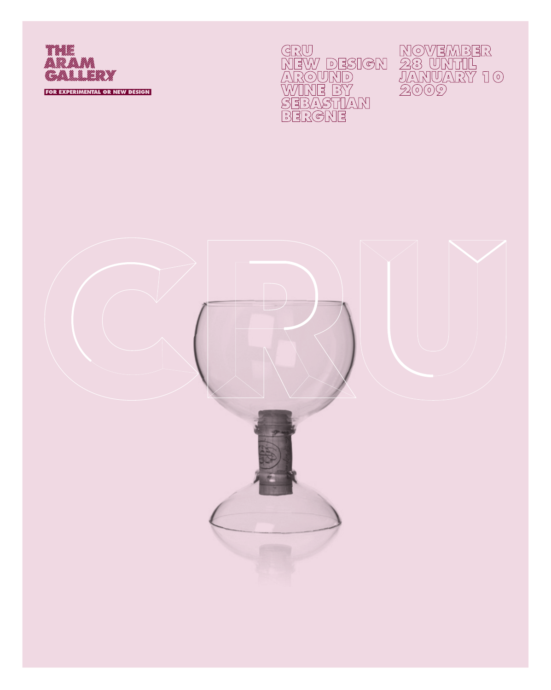

GRU<br>NEW DESIGN<br>AROUND<br>WINE BY<br>SEBASTIAN<br>SEBASTIAN



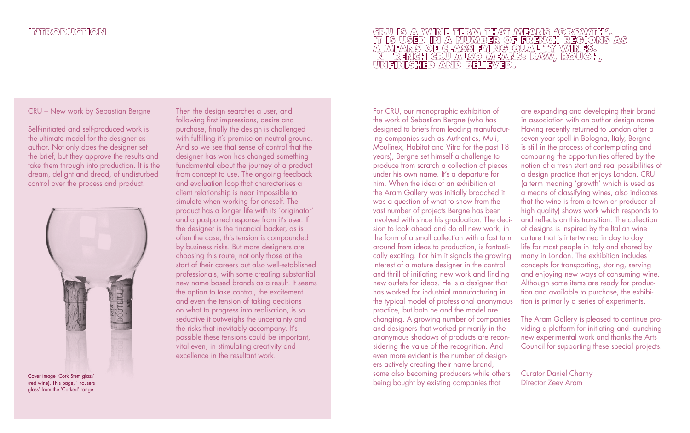CRU – New work by Sebastian Bergne

Self-initiated and self-produced work is the ultimate model for the designer as author. Not only does the designer set the brief, but they approve the results and take them through into production. It is the dream, delight and dread, of undisturbed control over the process and product.



(red wine). This page, 'Trousers glass' from the 'Corked' range.

Then the design searches a user, and following first impressions, desire and purchase, finally the design is challenged with fulfilling it's promise on neutral ground. And so we see that sense of control that the designer has won has changed something fundamental about the journey of a product from concept to use. The ongoing feedback and evaluation loop that characterises a client relationship is near impossible to simulate when working for oneself. The product has a longer life with its 'originator' and a postponed response from it's user. If the designer is the financial backer, as is often the case, this tension is compounded by business risks. But more designers are choosing this route, not only those at the start of their careers but also well-established professionals, with some creating substantial new name based brands as a result. It seems the option to take control, the excitement and even the tension of taking decisions on what to progress into realisation, is so seductive it outweighs the uncertainty and the risks that inevitably accompany. It's possible these tensions could be important, vital even, in stimulating creativity and excellence in the resultant work.

# GRU IS A WINE TERM THAT MEANS "GROWTH".<br>IT IS USED IN A NUMBER OF FRENGH REGIONS AS<br>A MEANS OF GLASSIFYING QUALITY WINES.<br>IN FRENGH GRU ALSO MEANS: RAW, ROUGH,<br>UNFINISHED AND BELIEVED.

For CRU, our monographic exhibition of the work of Sebastian Bergne (who has designed to briefs from leading manufacturing companies such as Authentics, Muji, Moulinex, Habitat and Vitra for the past 18 years), Bergne set himself a challenge to produce from scratch a collection of pieces under his own name. It's a departure for him. When the idea of an exhibition at the Aram Gallery was initially broached it was a question of what to show from the vast number of projects Bergne has been involved with since his graduation. The decision to look ahead and do all new work, in the form of a small collection with a fast turn around from ideas to production, is fantastically exciting. For him it signals the growing interest of a mature designer in the control and thrill of initiating new work and finding new outlets for ideas. He is a designer that has worked for industrial manufacturing in the typical model of professional anonymous practice, but both he and the model are changing. A growing number of companies and designers that worked primarily in the anonymous shadows of products are reconsidering the value of the recognition. And even more evident is the number of designers actively creating their name brand, some also becoming producers while others Cover image 'Cork Stem glass' Cork Stem glass' Core and the core of the core of the core of the core of the core of the core of the core of the core of the core of the core of the core of the core of the core of the core o

are expanding and developing their brand in association with an author design name. Having recently returned to London after a seven year spell in Bologna, Italy, Bergne is still in the process of contemplating and comparing the opportunities offered by the notion of a fresh start and real possibilities of a design practice that enjoys London. CRU (a term meaning 'growth' which is used as a means of classifying wines, also indicates that the wine is from a town or producer of high quality) shows work which responds to and reflects on this transition. The collection of designs is inspired by the Italian wine culture that is intertwined in day to day life for most people in Italy and shared by many in London. The exhibition includes concepts for transporting, storing, serving and enjoying new ways of consuming wine. Although some items are ready for production and available to purchase, the exhibition is primarily a series of experiments.

The Aram Gallery is pleased to continue providing a platform for initiating and launching new experimental work and thanks the Arts Council for supporting these special projects.

Curator Daniel Charny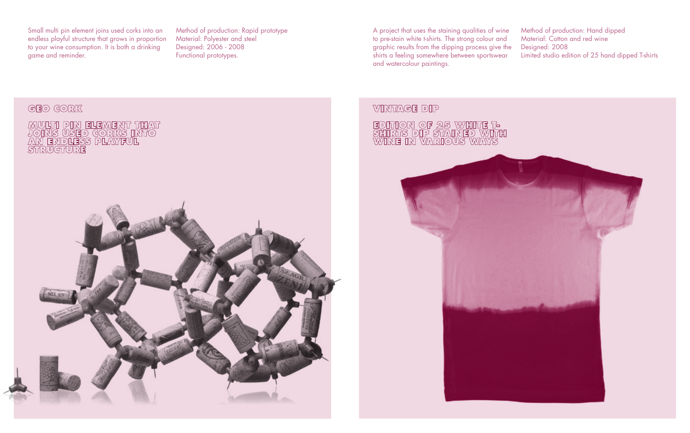Small multi pin element joins used corks into an endless playful structure that grows in proportion to your wine consumption. It is both a drinking game and reminder.

MULTI PIN ELEMENT THAT<br>JOINS USED GORKS INTO<br>AN ENDLESS PLAYFUL<br>STRUGTURE

GEO GORK

Method of production: Rapid prototype Material: Polyester and steel Designed: 2006 - 2008 Functional prototypes.

A project that uses the staining qualities of wine to pre-stain white t-shirts. The strong colour and graphic results from the dipping process give the shirts a feeling somewhere between sportswear and watercolour paintings.

Method of production: Hand dipped Material: Cotton and red wine Designed: 2008 Limited studio edition of 25 hand dipped T-shirts

#### **VINTAGE DIP**

# EDITION OF 25 WHITE T-<br>SHIRTS DIP STAINED WITH<br>WINE IN VARIOUS WAYS

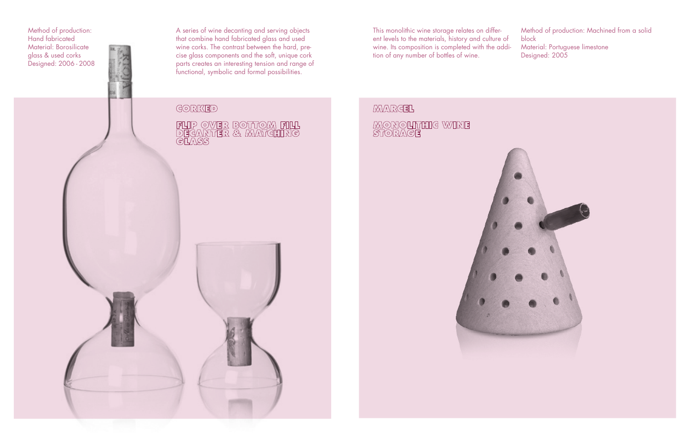Method of production: Hand fabricated Material: Borosilicate glass & used corks Designed: 2006 - 2008 A series of wine decanting and serving objects that combine hand fabricated glass and used wine corks. The contrast between the hard, pre cise glass components and the soft, unique cork parts creates an interesting tension and range of functional, symbolic and formal possibilities.

FLIP OVER BOTTOM FILL<br>DECANTER & MATGHING<br>GLASS

This monolithic wine storage relates on different levels to the materials, history and culture of wine. Its composition is completed with the addi tion of any number of bottles of wine.

Method of production: Machined from a solid block Material: Portuguese limestone Designed: 2005

#### **MARGEL**

## **MONOLITHIG WINE**<br>STORAGE



GORKED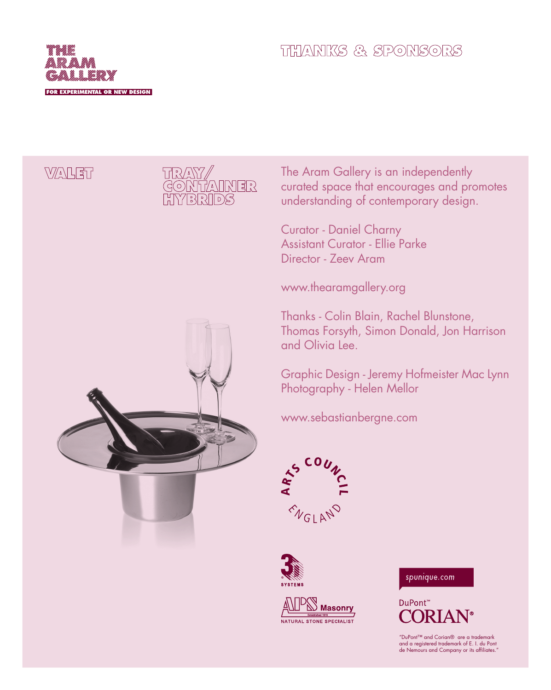

#### **THANKS & SPONSORS**

#### **WALET**



The Aram Gallery is an independently curated space that encourages and promotes understanding of contemporary design.

Curator - Daniel Charny Assistant Curator - Ellie Parke Director - Zeev Aram

www.thearamgallery.org

Thanks - Colin Blain, Rachel Blunstone, Thomas Forsyth, Simon Donald, Jon Harrison and Olivia Lee.

Graphic Design - Jeremy Hofmeister Mac Lynn Photography - Helen Mellor

www.sebastianbergne.com









DuPont™

"DuPont™ and Corian® are a trademark and a registered trademark of E. I. du Pont de Nemours and Company or its affiliates."